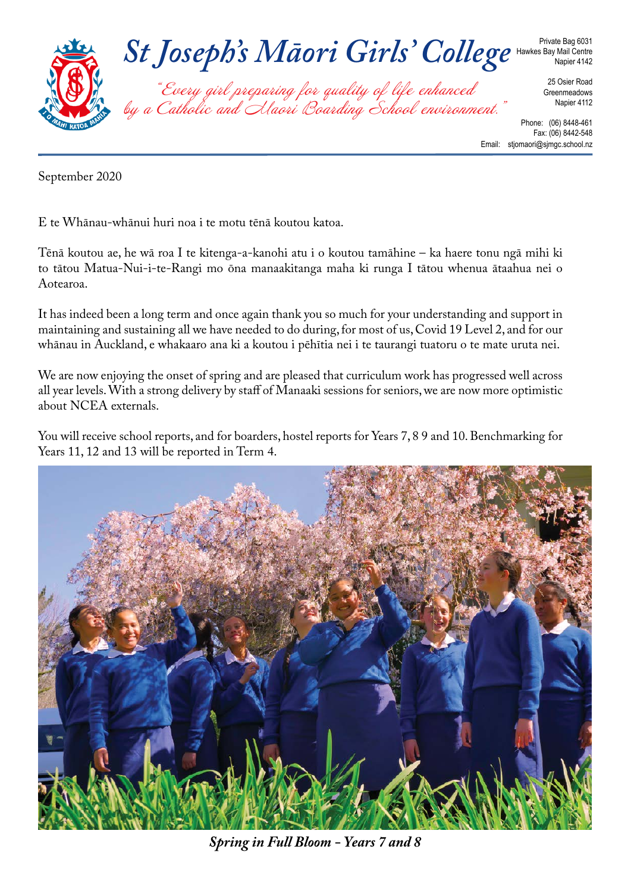

September 2020

E te Whānau-whānui huri noa i te motu tēnā koutou katoa.

Tēnā koutou ae, he wā roa I te kitenga-a-kanohi atu i o koutou tamāhine – ka haere tonu ngā mihi ki to tātou Matua-Nui-i-te-Rangi mo ōna manaakitanga maha ki runga I tātou whenua ātaahua nei o Aotearoa.

It has indeed been a long term and once again thank you so much for your understanding and support in maintaining and sustaining all we have needed to do during, for most of us, Covid 19 Level 2, and for our whānau in Auckland, e whakaaro ana ki a koutou i pēhītia nei i te taurangi tuatoru o te mate uruta nei.

We are now enjoying the onset of spring and are pleased that curriculum work has progressed well across all year levels. With a strong delivery by staff of Manaaki sessions for seniors, we are now more optimistic about NCEA externals.

You will receive school reports, and for boarders, hostel reports for Years 7, 8 9 and 10. Benchmarking for Years 11, 12 and 13 will be reported in Term 4.



*Spring in Full Bloom - Years 7 and 8*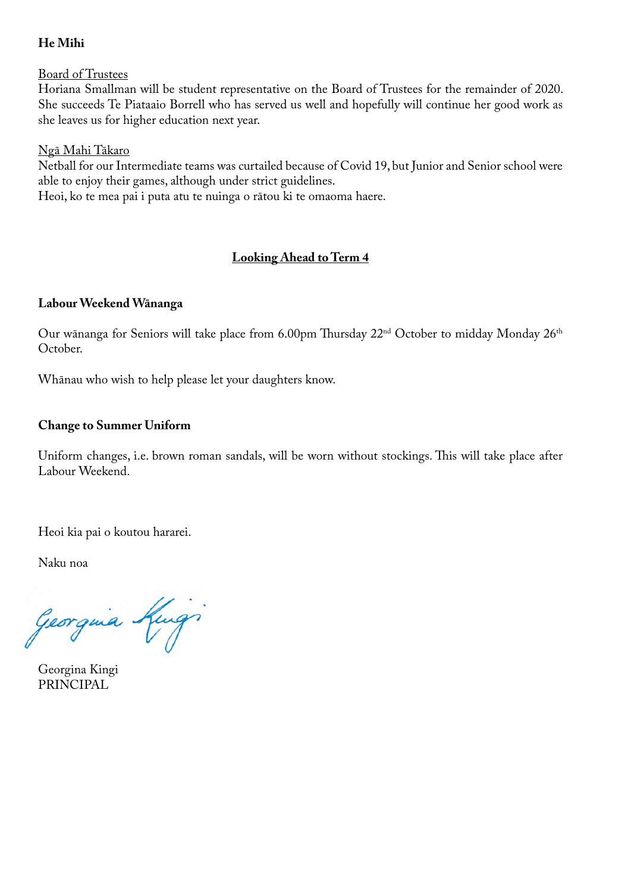## **He Mihi**

Board of Trustees

Horiana Smallman will be student representative on the Board of Trustees for the remainder of 2020. She succeeds Te Piataaio Borrell who has served us well and hopefully will continue her good work as she leaves us for higher education next year.

### Ngā Mahi Tākaro

Netball for our Intermediate teams was curtailed because of Covid 19, but Junior and Senior school were able to enjoy their games, although under strict guidelines.

Heoi, ko te mea pai i puta atu te nuinga o rātou ki te omaoma haere.

# **Looking Ahead to Term 4**

### **Labour Weekend Wānanga**

Our wānanga for Seniors will take place from 6.00pm Thursday 22nd October to midday Monday 26th October.

Whānau who wish to help please let your daughters know.

### **Change to Summer Uniform**

Uniform changes, i.e. brown roman sandals, will be worn without stockings. This will take place after Labour Weekend.

Heoi kia pai o koutou hararei.

Naku noa

Georgina King

Georgina Kingi PRINCIPAL